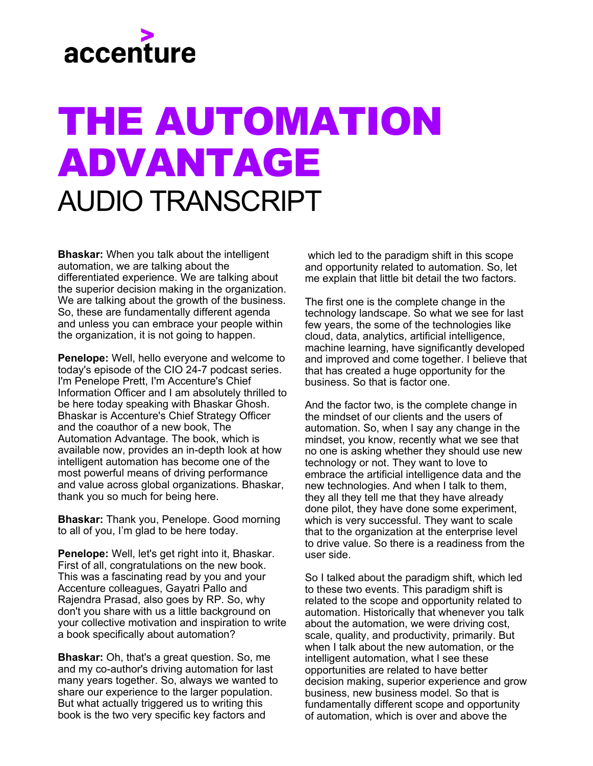

## THE AUTOMATION ADVANTAGE AUDIO TRANSCRIPT

**Bhaskar:** When you talk about the intelligent automation, we are talking about the differentiated experience. We are talking about the superior decision making in the organization. We are talking about the growth of the business. So, these are fundamentally different agenda and unless you can embrace your people within the organization, it is not going to happen.

**Penelope:** Well, hello everyone and welcome to today's episode of the CIO 24-7 podcast series. I'm Penelope Prett, I'm Accenture's Chief Information Officer and I am absolutely thrilled to be here today speaking with Bhaskar Ghosh. Bhaskar is Accenture's Chief Strategy Officer and the coauthor of a new book, The Automation Advantage. The book, which is available now, provides an in-depth look at how intelligent automation has become one of the most powerful means of driving performance and value across global organizations. Bhaskar, thank you so much for being here.

**Bhaskar:** Thank you, Penelope. Good morning to all of you, I'm glad to be here today.

**Penelope:** Well, let's get right into it, Bhaskar. First of all, congratulations on the new book. This was a fascinating read by you and your Accenture colleagues, Gayatri Pallo and Rajendra Prasad, also goes by RP. So, why don't you share with us a little background on your collective motivation and inspiration to write a book specifically about automation?

**Bhaskar:** Oh, that's a great question. So, me and my co-author's driving automation for last many years together. So, always we wanted to share our experience to the larger population. But what actually triggered us to writing this book is the two very specific key factors and

 which led to the paradigm shift in this scope and opportunity related to automation. So, let me explain that little bit detail the two factors.

The first one is the complete change in the technology landscape. So what we see for last few years, the some of the technologies like cloud, data, analytics, artificial intelligence, machine learning, have significantly developed and improved and come together. I believe that that has created a huge opportunity for the business. So that is factor one.

And the factor two, is the complete change in the mindset of our clients and the users of automation. So, when I say any change in the mindset, you know, recently what we see that no one is asking whether they should use new technology or not. They want to love to embrace the artificial intelligence data and the new technologies. And when I talk to them, they all they tell me that they have already done pilot, they have done some experiment, which is very successful. They want to scale that to the organization at the enterprise level to drive value. So there is a readiness from the user side.

So I talked about the paradigm shift, which led to these two events. This paradigm shift is related to the scope and opportunity related to automation. Historically that whenever you talk about the automation, we were driving cost, scale, quality, and productivity, primarily. But when I talk about the new automation, or the intelligent automation, what I see these opportunities are related to have better decision making, superior experience and grow business, new business model. So that is fundamentally different scope and opportunity of automation, which is over and above the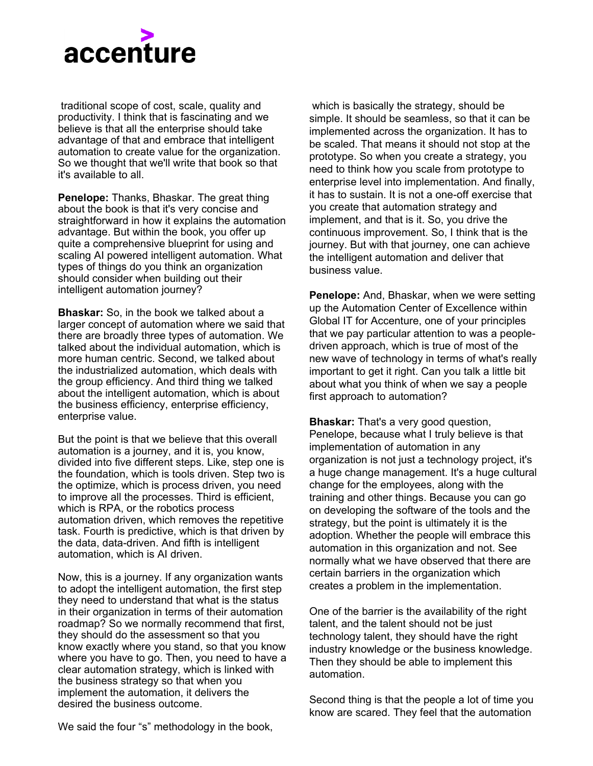

 traditional scope of cost, scale, quality and productivity. I think that is fascinating and we believe is that all the enterprise should take advantage of that and embrace that intelligent automation to create value for the organization. So we thought that we'll write that book so that it's available to all.

**Penelope:** Thanks, Bhaskar. The great thing about the book is that it's very concise and straightforward in how it explains the automation advantage. But within the book, you offer up quite a comprehensive blueprint for using and scaling AI powered intelligent automation. What types of things do you think an organization should consider when building out their intelligent automation journey?

**Bhaskar:** So, in the book we talked about a larger concept of automation where we said that there are broadly three types of automation. We talked about the individual automation, which is more human centric. Second, we talked about the industrialized automation, which deals with the group efficiency. And third thing we talked about the intelligent automation, which is about the business efficiency, enterprise efficiency, enterprise value.

But the point is that we believe that this overall automation is a journey, and it is, you know, divided into five different steps. Like, step one is the foundation, which is tools driven. Step two is the optimize, which is process driven, you need to improve all the processes. Third is efficient, which is RPA, or the robotics process automation driven, which removes the repetitive task. Fourth is predictive, which is that driven by the data, data-driven. And fifth is intelligent automation, which is AI driven.

Now, this is a journey. If any organization wants to adopt the intelligent automation, the first step they need to understand that what is the status in their organization in terms of their automation roadmap? So we normally recommend that first, they should do the assessment so that you know exactly where you stand, so that you know where you have to go. Then, you need to have a clear automation strategy, which is linked with the business strategy so that when you implement the automation, it delivers the desired the business outcome.

 which is basically the strategy, should be simple. It should be seamless, so that it can be implemented across the organization. It has to be scaled. That means it should not stop at the prototype. So when you create a strategy, you need to think how you scale from prototype to enterprise level into implementation. And finally, it has to sustain. It is not a one-off exercise that you create that automation strategy and implement, and that is it. So, you drive the continuous improvement. So, I think that is the journey. But with that journey, one can achieve the intelligent automation and deliver that business value.

**Penelope:** And, Bhaskar, when we were setting up the Automation Center of Excellence within Global IT for Accenture, one of your principles that we pay particular attention to was a peopledriven approach, which is true of most of the new wave of technology in terms of what's really important to get it right. Can you talk a little bit about what you think of when we say a people first approach to automation?

**Bhaskar:** That's a very good question, Penelope, because what I truly believe is that implementation of automation in any organization is not just a technology project, it's a huge change management. It's a huge cultural change for the employees, along with the training and other things. Because you can go on developing the software of the tools and the strategy, but the point is ultimately it is the adoption. Whether the people will embrace this automation in this organization and not. See normally what we have observed that there are certain barriers in the organization which creates a problem in the implementation.

One of the barrier is the availability of the right talent, and the talent should not be just technology talent, they should have the right industry knowledge or the business knowledge. Then they should be able to implement this automation.

Second thing is that the people a lot of time you know are scared. They feel that the automation

We said the four "s" methodology in the book,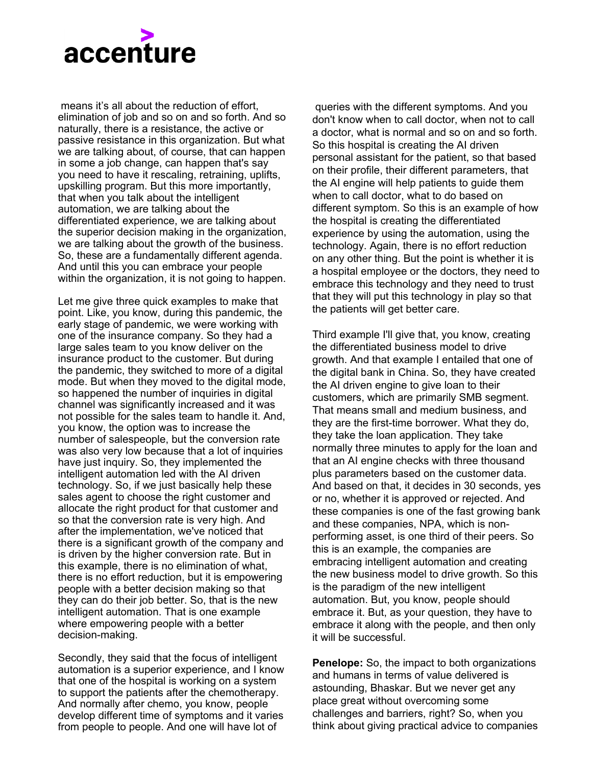

 means it's all about the reduction of effort, elimination of job and so on and so forth. And so naturally, there is a resistance, the active or passive resistance in this organization. But what we are talking about, of course, that can happen in some a job change, can happen that's say you need to have it rescaling, retraining, uplifts, upskilling program. But this more importantly, that when you talk about the intelligent automation, we are talking about the differentiated experience, we are talking about the superior decision making in the organization, we are talking about the growth of the business. So, these are a fundamentally different agenda. And until this you can embrace your people within the organization, it is not going to happen.

Let me give three quick examples to make that point. Like, you know, during this pandemic, the early stage of pandemic, we were working with one of the insurance company. So they had a large sales team to you know deliver on the insurance product to the customer. But during the pandemic, they switched to more of a digital mode. But when they moved to the digital mode, so happened the number of inquiries in digital channel was significantly increased and it was not possible for the sales team to handle it. And, you know, the option was to increase the number of salespeople, but the conversion rate was also very low because that a lot of inquiries have just inquiry. So, they implemented the intelligent automation led with the AI driven technology. So, if we just basically help these sales agent to choose the right customer and allocate the right product for that customer and so that the conversion rate is very high. And after the implementation, we've noticed that there is a significant growth of the company and is driven by the higher conversion rate. But in this example, there is no elimination of what, there is no effort reduction, but it is empowering people with a better decision making so that they can do their job better. So, that is the new intelligent automation. That is one example where empowering people with a better decision-making.

Secondly, they said that the focus of intelligent automation is a superior experience, and I know that one of the hospital is working on a system to support the patients after the chemotherapy. And normally after chemo, you know, people develop different time of symptoms and it varies from people to people. And one will have lot of

 queries with the different symptoms. And you don't know when to call doctor, when not to call a doctor, what is normal and so on and so forth. So this hospital is creating the AI driven personal assistant for the patient, so that based on their profile, their different parameters, that the AI engine will help patients to guide them when to call doctor, what to do based on different symptom. So this is an example of how the hospital is creating the differentiated experience by using the automation, using the technology. Again, there is no effort reduction on any other thing. But the point is whether it is a hospital employee or the doctors, they need to embrace this technology and they need to trust that they will put this technology in play so that the patients will get better care.

Third example I'll give that, you know, creating the differentiated business model to drive growth. And that example I entailed that one of the digital bank in China. So, they have created the AI driven engine to give loan to their customers, which are primarily SMB segment. That means small and medium business, and they are the first-time borrower. What they do, they take the loan application. They take normally three minutes to apply for the loan and that an AI engine checks with three thousand plus parameters based on the customer data. And based on that, it decides in 30 seconds, yes or no, whether it is approved or rejected. And these companies is one of the fast growing bank and these companies, NPA, which is nonperforming asset, is one third of their peers. So this is an example, the companies are embracing intelligent automation and creating the new business model to drive growth. So this is the paradigm of the new intelligent automation. But, you know, people should embrace it. But, as your question, they have to embrace it along with the people, and then only it will be successful.

**Penelope:** So, the impact to both organizations and humans in terms of value delivered is astounding, Bhaskar. But we never get any place great without overcoming some challenges and barriers, right? So, when you think about giving practical advice to companies